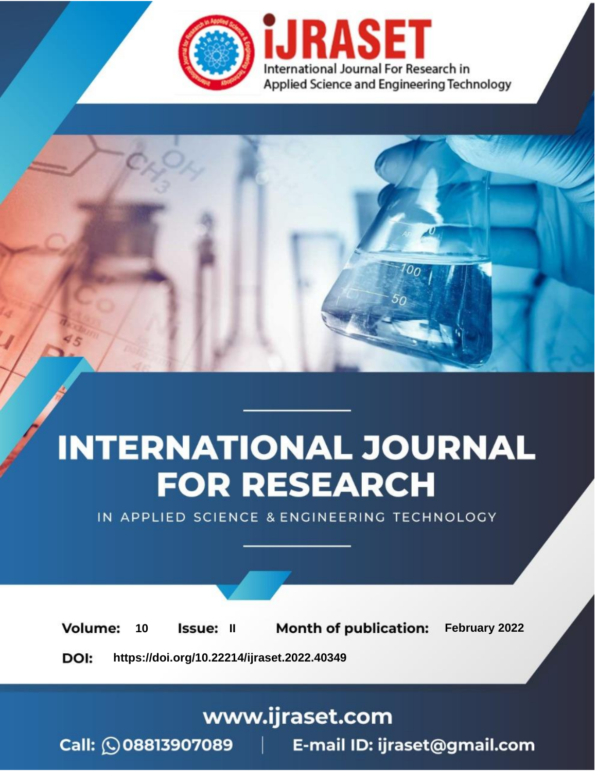

# **INTERNATIONAL JOURNAL FOR RESEARCH**

IN APPLIED SCIENCE & ENGINEERING TECHNOLOGY

**Month of publication:** February 2022 **Volume:** 10 **Issue: II** DOI: https://doi.org/10.22214/ijraset.2022.40349

www.ijraset.com

 $Call: \bigcirc$ 08813907089 E-mail ID: ijraset@gmail.com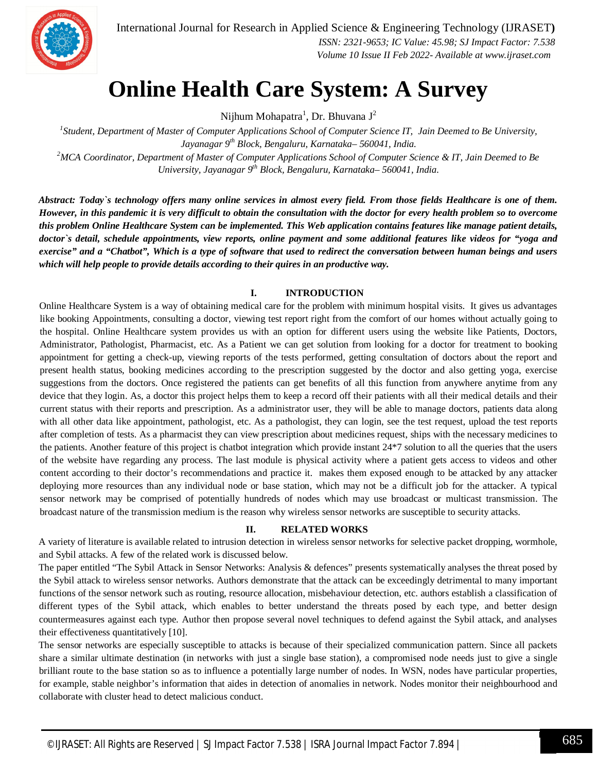

### **Online Health Care System: A Survey**

Nijhum Mohapatra<sup>1</sup>, Dr. Bhuvana J<sup>2</sup>

*1 Student, Department of Master of Computer Applications School of Computer Science IT, Jain Deemed to Be University, Jayanagar 9th Block, Bengaluru, Karnataka– 560041, India. <sup>2</sup>MCA Coordinator, Department of Master of Computer Applications School of Computer Science & IT, Jain Deemed to Be University, Jayanagar 9th Block, Bengaluru, Karnataka– 560041, India.*

*Abstract: Today`s technology offers many online services in almost every field. From those fields Healthcare is one of them. However, in this pandemic it is very difficult to obtain the consultation with the doctor for every health problem so to overcome this problem Online Healthcare System can be implemented. This Web application contains features like manage patient details, doctor`s detail, schedule appointments, view reports, online payment and some additional features like videos for "yoga and exercise" and a "Chatbot", Which is a type of software that used to redirect the conversation between human beings and users which will help people to provide details according to their quires in an productive way.* 

#### **I. INTRODUCTION**

Online Healthcare System is a way of obtaining medical care for the problem with minimum hospital visits. It gives us advantages like booking Appointments, consulting a doctor, viewing test report right from the comfort of our homes without actually going to the hospital. Online Healthcare system provides us with an option for different users using the website like Patients, Doctors, Administrator, Pathologist, Pharmacist, etc. As a Patient we can get solution from looking for a doctor for treatment to booking appointment for getting a check-up, viewing reports of the tests performed, getting consultation of doctors about the report and present health status, booking medicines according to the prescription suggested by the doctor and also getting yoga, exercise suggestions from the doctors. Once registered the patients can get benefits of all this function from anywhere anytime from any device that they login. As, a doctor this project helps them to keep a record off their patients with all their medical details and their current status with their reports and prescription. As a administrator user, they will be able to manage doctors, patients data along with all other data like appointment, pathologist, etc. As a pathologist, they can login, see the test request, upload the test reports after completion of tests. As a pharmacist they can view prescription about medicines request, ships with the necessary medicines to the patients. Another feature of this project is chatbot integration which provide instant 24\*7 solution to all the queries that the users of the website have regarding any process. The last module is physical activity where a patient gets access to videos and other content according to their doctor's recommendations and practice it. makes them exposed enough to be attacked by any attacker deploying more resources than any individual node or base station, which may not be a difficult job for the attacker. A typical sensor network may be comprised of potentially hundreds of nodes which may use broadcast or multicast transmission. The broadcast nature of the transmission medium is the reason why wireless sensor networks are susceptible to security attacks.

#### **II. RELATED WORKS**

A variety of literature is available related to intrusion detection in wireless sensor networks for selective packet dropping, wormhole, and Sybil attacks. A few of the related work is discussed below.

The paper entitled "The Sybil Attack in Sensor Networks: Analysis & defences" presents systematically analyses the threat posed by the Sybil attack to wireless sensor networks. Authors demonstrate that the attack can be exceedingly detrimental to many important functions of the sensor network such as routing, resource allocation, misbehaviour detection, etc. authors establish a classification of different types of the Sybil attack, which enables to better understand the threats posed by each type, and better design countermeasures against each type. Author then propose several novel techniques to defend against the Sybil attack, and analyses their effectiveness quantitatively [10].

The sensor networks are especially susceptible to attacks is because of their specialized communication pattern. Since all packets share a similar ultimate destination (in networks with just a single base station), a compromised node needs just to give a single brilliant route to the base station so as to influence a potentially large number of nodes. In WSN, nodes have particular properties, for example, stable neighbor's information that aides in detection of anomalies in network. Nodes monitor their neighbourhood and collaborate with cluster head to detect malicious conduct.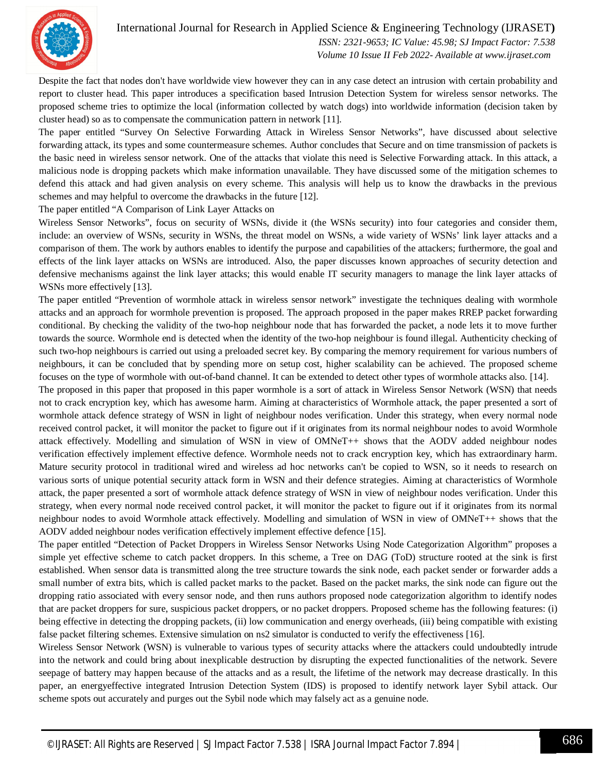

Despite the fact that nodes don't have worldwide view however they can in any case detect an intrusion with certain probability and report to cluster head. This paper introduces a specification based Intrusion Detection System for wireless sensor networks. The proposed scheme tries to optimize the local (information collected by watch dogs) into worldwide information (decision taken by cluster head) so as to compensate the communication pattern in network [11].

The paper entitled "Survey On Selective Forwarding Attack in Wireless Sensor Networks", have discussed about selective forwarding attack, its types and some countermeasure schemes. Author concludes that Secure and on time transmission of packets is the basic need in wireless sensor network. One of the attacks that violate this need is Selective Forwarding attack. In this attack, a malicious node is dropping packets which make information unavailable. They have discussed some of the mitigation schemes to defend this attack and had given analysis on every scheme. This analysis will help us to know the drawbacks in the previous schemes and may helpful to overcome the drawbacks in the future [12].

The paper entitled "A Comparison of Link Layer Attacks on

Wireless Sensor Networks", focus on security of WSNs, divide it (the WSNs security) into four categories and consider them, include: an overview of WSNs, security in WSNs, the threat model on WSNs, a wide variety of WSNs' link layer attacks and a comparison of them. The work by authors enables to identify the purpose and capabilities of the attackers; furthermore, the goal and effects of the link layer attacks on WSNs are introduced. Also, the paper discusses known approaches of security detection and defensive mechanisms against the link layer attacks; this would enable IT security managers to manage the link layer attacks of WSNs more effectively [13].

The paper entitled "Prevention of wormhole attack in wireless sensor network" investigate the techniques dealing with wormhole attacks and an approach for wormhole prevention is proposed. The approach proposed in the paper makes RREP packet forwarding conditional. By checking the validity of the two-hop neighbour node that has forwarded the packet, a node lets it to move further towards the source. Wormhole end is detected when the identity of the two-hop neighbour is found illegal. Authenticity checking of such two-hop neighbours is carried out using a preloaded secret key. By comparing the memory requirement for various numbers of neighbours, it can be concluded that by spending more on setup cost, higher scalability can be achieved. The proposed scheme focuses on the type of wormhole with out-of-band channel. It can be extended to detect other types of wormhole attacks also. [14].

The proposed in this paper that proposed in this paper wormhole is a sort of attack in Wireless Sensor Network (WSN) that needs not to crack encryption key, which has awesome harm. Aiming at characteristics of Wormhole attack, the paper presented a sort of wormhole attack defence strategy of WSN in light of neighbour nodes verification. Under this strategy, when every normal node received control packet, it will monitor the packet to figure out if it originates from its normal neighbour nodes to avoid Wormhole attack effectively. Modelling and simulation of WSN in view of OMNeT++ shows that the AODV added neighbour nodes verification effectively implement effective defence. Wormhole needs not to crack encryption key, which has extraordinary harm. Mature security protocol in traditional wired and wireless ad hoc networks can't be copied to WSN, so it needs to research on various sorts of unique potential security attack form in WSN and their defence strategies. Aiming at characteristics of Wormhole attack, the paper presented a sort of wormhole attack defence strategy of WSN in view of neighbour nodes verification. Under this strategy, when every normal node received control packet, it will monitor the packet to figure out if it originates from its normal neighbour nodes to avoid Wormhole attack effectively. Modelling and simulation of WSN in view of OMNeT++ shows that the AODV added neighbour nodes verification effectively implement effective defence [15].

The paper entitled "Detection of Packet Droppers in Wireless Sensor Networks Using Node Categorization Algorithm" proposes a simple yet effective scheme to catch packet droppers. In this scheme, a Tree on DAG (ToD) structure rooted at the sink is first established. When sensor data is transmitted along the tree structure towards the sink node, each packet sender or forwarder adds a small number of extra bits, which is called packet marks to the packet. Based on the packet marks, the sink node can figure out the dropping ratio associated with every sensor node, and then runs authors proposed node categorization algorithm to identify nodes that are packet droppers for sure, suspicious packet droppers, or no packet droppers. Proposed scheme has the following features: (i) being effective in detecting the dropping packets, (ii) low communication and energy overheads, (iii) being compatible with existing false packet filtering schemes. Extensive simulation on ns2 simulator is conducted to verify the effectiveness [16].

Wireless Sensor Network (WSN) is vulnerable to various types of security attacks where the attackers could undoubtedly intrude into the network and could bring about inexplicable destruction by disrupting the expected functionalities of the network. Severe seepage of battery may happen because of the attacks and as a result, the lifetime of the network may decrease drastically. In this paper, an energyeffective integrated Intrusion Detection System (IDS) is proposed to identify network layer Sybil attack. Our scheme spots out accurately and purges out the Sybil node which may falsely act as a genuine node.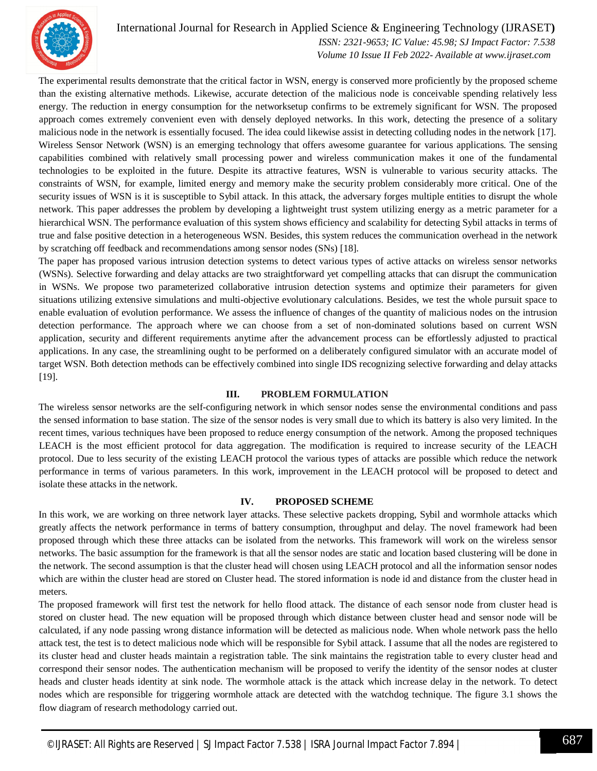

#### International Journal for Research in Applied Science & Engineering Technology (IJRASET**)**

 *ISSN: 2321-9653; IC Value: 45.98; SJ Impact Factor: 7.538 Volume 10 Issue II Feb 2022- Available at www.ijraset.com*

The experimental results demonstrate that the critical factor in WSN, energy is conserved more proficiently by the proposed scheme than the existing alternative methods. Likewise, accurate detection of the malicious node is conceivable spending relatively less energy. The reduction in energy consumption for the networksetup confirms to be extremely significant for WSN. The proposed approach comes extremely convenient even with densely deployed networks. In this work, detecting the presence of a solitary malicious node in the network is essentially focused. The idea could likewise assist in detecting colluding nodes in the network [17]. Wireless Sensor Network (WSN) is an emerging technology that offers awesome guarantee for various applications. The sensing capabilities combined with relatively small processing power and wireless communication makes it one of the fundamental technologies to be exploited in the future. Despite its attractive features, WSN is vulnerable to various security attacks. The constraints of WSN, for example, limited energy and memory make the security problem considerably more critical. One of the security issues of WSN is it is susceptible to Sybil attack. In this attack, the adversary forges multiple entities to disrupt the whole network. This paper addresses the problem by developing a lightweight trust system utilizing energy as a metric parameter for a hierarchical WSN. The performance evaluation of this system shows efficiency and scalability for detecting Sybil attacks in terms of true and false positive detection in a heterogeneous WSN. Besides, this system reduces the communication overhead in the network by scratching off feedback and recommendations among sensor nodes (SNs) [18].

The paper has proposed various intrusion detection systems to detect various types of active attacks on wireless sensor networks (WSNs). Selective forwarding and delay attacks are two straightforward yet compelling attacks that can disrupt the communication in WSNs. We propose two parameterized collaborative intrusion detection systems and optimize their parameters for given situations utilizing extensive simulations and multi-objective evolutionary calculations. Besides, we test the whole pursuit space to enable evaluation of evolution performance. We assess the influence of changes of the quantity of malicious nodes on the intrusion detection performance. The approach where we can choose from a set of non-dominated solutions based on current WSN application, security and different requirements anytime after the advancement process can be effortlessly adjusted to practical applications. In any case, the streamlining ought to be performed on a deliberately configured simulator with an accurate model of target WSN. Both detection methods can be effectively combined into single IDS recognizing selective forwarding and delay attacks [19].

#### **III. PROBLEM FORMULATION**

The wireless sensor networks are the self-configuring network in which sensor nodes sense the environmental conditions and pass the sensed information to base station. The size of the sensor nodes is very small due to which its battery is also very limited. In the recent times, various techniques have been proposed to reduce energy consumption of the network. Among the proposed techniques LEACH is the most efficient protocol for data aggregation. The modification is required to increase security of the LEACH protocol. Due to less security of the existing LEACH protocol the various types of attacks are possible which reduce the network performance in terms of various parameters. In this work, improvement in the LEACH protocol will be proposed to detect and isolate these attacks in the network.

#### **IV. PROPOSED SCHEME**

In this work, we are working on three network layer attacks. These selective packets dropping, Sybil and wormhole attacks which greatly affects the network performance in terms of battery consumption, throughput and delay. The novel framework had been proposed through which these three attacks can be isolated from the networks. This framework will work on the wireless sensor networks. The basic assumption for the framework is that all the sensor nodes are static and location based clustering will be done in the network. The second assumption is that the cluster head will chosen using LEACH protocol and all the information sensor nodes which are within the cluster head are stored on Cluster head. The stored information is node id and distance from the cluster head in meters.

The proposed framework will first test the network for hello flood attack. The distance of each sensor node from cluster head is stored on cluster head. The new equation will be proposed through which distance between cluster head and sensor node will be calculated, if any node passing wrong distance information will be detected as malicious node. When whole network pass the hello attack test, the test is to detect malicious node which will be responsible for Sybil attack. I assume that all the nodes are registered to its cluster head and cluster heads maintain a registration table. The sink maintains the registration table to every cluster head and correspond their sensor nodes. The authentication mechanism will be proposed to verify the identity of the sensor nodes at cluster heads and cluster heads identity at sink node. The wormhole attack is the attack which increase delay in the network. To detect nodes which are responsible for triggering wormhole attack are detected with the watchdog technique. The figure 3.1 shows the flow diagram of research methodology carried out.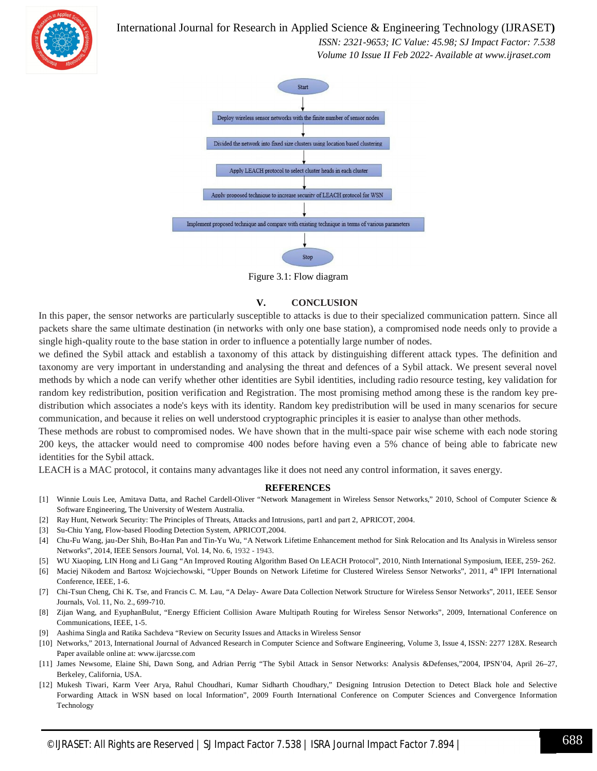International Journal for Research in Applied Science & Engineering Technology (IJRASET**)**



 *ISSN: 2321-9653; IC Value: 45.98; SJ Impact Factor: 7.538 Volume 10 Issue II Feb 2022- Available at www.ijraset.com*



Figure 3.1: Flow diagram

#### **V. CONCLUSION**

In this paper, the sensor networks are particularly susceptible to attacks is due to their specialized communication pattern. Since all packets share the same ultimate destination (in networks with only one base station), a compromised node needs only to provide a single high-quality route to the base station in order to influence a potentially large number of nodes.

we defined the Sybil attack and establish a taxonomy of this attack by distinguishing different attack types. The definition and taxonomy are very important in understanding and analysing the threat and defences of a Sybil attack. We present several novel methods by which a node can verify whether other identities are Sybil identities, including radio resource testing, key validation for random key redistribution, position verification and Registration. The most promising method among these is the random key predistribution which associates a node's keys with its identity. Random key predistribution will be used in many scenarios for secure communication, and because it relies on well understood cryptographic principles it is easier to analyse than other methods.

These methods are robust to compromised nodes. We have shown that in the multi-space pair wise scheme with each node storing 200 keys, the attacker would need to compromise 400 nodes before having even a 5% chance of being able to fabricate new identities for the Sybil attack.

LEACH is a MAC protocol, it contains many advantages like it does not need any control information, it saves energy.

#### **REFERENCES**

- [1] Winnie Louis Lee, Amitava Datta, and Rachel Cardell-Oliver "Network Management in Wireless Sensor Networks," 2010, School of Computer Science & Software Engineering, The University of Western Australia.
- [2] Ray Hunt, Network Security: The Principles of Threats, Attacks and Intrusions, part1 and part 2, APRICOT, 2004.
- [3] Su-Chiu Yang, Flow-based Flooding Detection System, APRICOT,2004.
- [4] Chu-Fu Wang, jau-Der Shih, Bo-Han Pan and Tin-Yu Wu, "A Network Lifetime Enhancement method for Sink Relocation and Its Analysis in Wireless sensor Networks", 2014, IEEE Sensors Journal, Vol. 14, No. 6, 1932 - 1943.
- [5] WU Xiaoping, LIN Hong and Li Gang "An Improved Routing Algorithm Based On LEACH Protocol", 2010, Ninth International Symposium, IEEE, 259- 262.
- [6] Maciej Nikodem and Bartosz Wojciechowski, "Upper Bounds on Network Lifetime for Clustered Wireless Sensor Networks", 2011, 4th IFPI International Conference, IEEE, 1-6.
- [7] Chi-Tsun Cheng, Chi K. Tse, and Francis C. M. Lau, "A Delay- Aware Data Collection Network Structure for Wireless Sensor Networks", 2011, IEEE Sensor Journals, Vol. 11, No. 2., 699-710.
- [8] Zijan Wang, and EyuphanBulut, "Energy Efficient Collision Aware Multipath Routing for Wireless Sensor Networks", 2009, International Conference on Communications, IEEE, 1-5.
- [9] Aashima Singla and Ratika Sachdeva "Review on Security Issues and Attacks in Wireless Sensor
- [10] Networks," 2013, International Journal of Advanced Research in Computer Science and Software Engineering, Volume 3, Issue 4, ISSN: 2277 128X. Research Paper available online at: www.ijarcsse.com
- [11] James Newsome, Elaine Shi, Dawn Song, and Adrian Perrig "The Sybil Attack in Sensor Networks: Analysis &Defenses,"2004, IPSN'04, April 26–27, Berkeley, California, USA.
- [12] Mukesh Tiwari, Karm Veer Arya, Rahul Choudhari, Kumar Sidharth Choudhary," Designing Intrusion Detection to Detect Black hole and Selective Forwarding Attack in WSN based on local Information", 2009 Fourth International Conference on Computer Sciences and Convergence Information Technology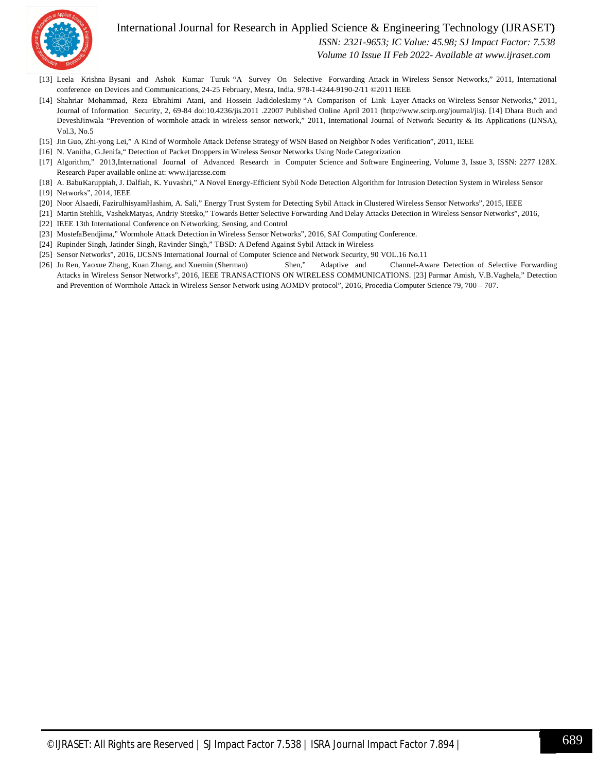

#### International Journal for Research in Applied Science & Engineering Technology (IJRASET**)**

 *ISSN: 2321-9653; IC Value: 45.98; SJ Impact Factor: 7.538*

 *Volume 10 Issue II Feb 2022- Available at www.ijraset.com*

- [13] Leela Krishna Bysani and Ashok Kumar Turuk "A Survey On Selective Forwarding Attack in Wireless Sensor Networks," 2011, International conference on Devices and Communications, 24-25 February, Mesra, India. 978-1-4244-9190-2/11 ©2011 IEEE
- [14] Shahriar Mohammad, Reza Ebrahimi Atani, and Hossein Jadidoleslamy "A Comparison of Link Layer Attacks on Wireless Sensor Networks," 2011, Journal of Information Security, 2, 69-84 doi:10.4236/jis.2011 .22007 Published Online April 2011 (http://www.scirp.org/journal/jis). [14] Dhara Buch and DeveshJinwala "Prevention of wormhole attack in wireless sensor network," 2011, International Journal of Network Security & Its Applications (IJNSA), Vol.3, No.5
- [15] Jin Guo, Zhi-yong Lei," A Kind of Wormhole Attack Defense Strategy of WSN Based on Neighbor Nodes Verification", 2011, IEEE
- [16] N. Vanitha, G.Jenifa," Detection of Packet Droppers in Wireless Sensor Networks Using Node Categorization
- [17] Algorithm," 2013,International Journal of Advanced Research in Computer Science and Software Engineering, Volume 3, Issue 3, ISSN: 2277 128X. Research Paper available online at: www.ijarcsse.com
- [18] A. BabuKaruppiah, J. Dalfiah, K. Yuvashri," A Novel Energy-Efficient Sybil Node Detection Algorithm for Intrusion Detection System in Wireless Sensor
- [19] Networks", 2014, IEEE
- [20] Noor Alsaedi, FazirulhisyamHashim, A. Sali," Energy Trust System for Detecting Sybil Attack in Clustered Wireless Sensor Networks", 2015, IEEE
- [21] Martin Stehlik, VashekMatyas, Andriy Stetsko," Towards Better Selective Forwarding And Delay Attacks Detection in Wireless Sensor Networks", 2016,
- [22] IEEE 13th International Conference on Networking, Sensing, and Control
- [23] MostefaBendjima," Wormhole Attack Detection in Wireless Sensor Networks", 2016, SAI Computing Conference.
- [24] Rupinder Singh, Jatinder Singh, Ravinder Singh," TBSD: A Defend Against Sybil Attack in Wireless
- [25] Sensor Networks", 2016, IJCSNS International Journal of Computer Science and Network Security, 90 VOL.16 No.11
- [26] Ju Ren, Yaoxue Zhang, Kuan Zhang, and Xuemin (Sherman) Shen," Adaptive and Channel-Aware Detection of Selective Forwarding Attacks in Wireless Sensor Networks", 2016, IEEE TRANSACTIONS ON WIRELESS COMMUNICATIONS. [23] Parmar Amish, V.B.Vaghela," Detection and Prevention of Wormhole Attack in Wireless Sensor Network using AOMDV protocol", 2016, Procedia Computer Science 79, 700 – 707.